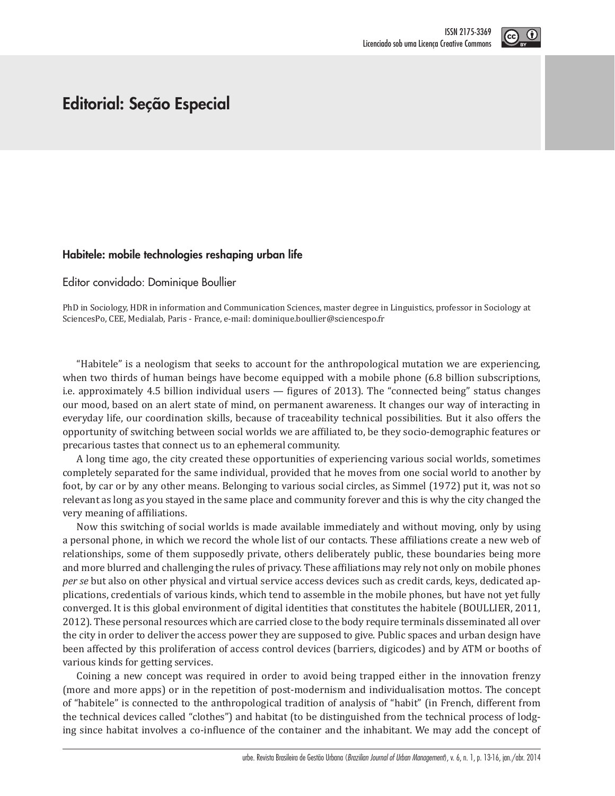

## **Editorial: Seção Especial**

## **Habitele: mobile technologies reshaping urban life**

Editor convidado: Dominique Boullier

PhD in Sociology, HDR in information and Communication Sciences, master degree in Linguistics, professor in Sociology at SciencesPo, CEE, Medialab, Paris - France, e-mail: dominique.boullier@sciencespo.fr

"Habitele" is a neologism that seeks to account for the anthropological mutation we are experiencing, when two thirds of human beings have become equipped with a mobile phone (6.8 billion subscriptions, i.e. approximately 4.5 billion individual users — figures of 2013). The "connected being" status changes our mood, based on an alert state of mind, on permanent awareness. It changes our way of interacting in everyday life, our coordination skills, because of traceability technical possibilities. But it also offers the opportunity of switching between social worlds we are affiliated to, be they socio-demographic features or precarious tastes that connect us to an ephemeral community.

A long time ago, the city created these opportunities of experiencing various social worlds, sometimes completely separated for the same individual, provided that he moves from one social world to another by foot, by car or by any other means. Belonging to various social circles, as Simmel (1972) put it, was not so relevant as long as you stayed in the same place and community forever and this is why the city changed the very meaning of affiliations.

Now this switching of social worlds is made available immediately and without moving, only by using a personal phone, in which we record the whole list of our contacts. These affiliations create a new web of relationships, some of them supposedly private, others deliberately public, these boundaries being more and more blurred and challenging the rules of privacy. These affiliations may rely not only on mobile phones *per se* but also on other physical and virtual service access devices such as credit cards, keys, dedicated applications, credentials of various kinds, which tend to assemble in the mobile phones, but have not yet fully converged. It is this global environment of digital identities that constitutes the habitele (BOULLIER, 2011, 2012). These personal resources which are carried close to the body require terminals disseminated all over the city in order to deliver the access power they are supposed to give. Public spaces and urban design have been affected by this proliferation of access control devices (barriers, digicodes) and by ATM or booths of various kinds for getting services.

Coining a new concept was required in order to avoid being trapped either in the innovation frenzy (more and more apps) or in the repetition of post-modernism and individualisation mottos. The concept of "habitele" is connected to the anthropological tradition of analysis of "habit" (in French, different from the technical devices called "clothes") and habitat (to be distinguished from the technical process of lodging since habitat involves a co-influence of the container and the inhabitant. We may add the concept of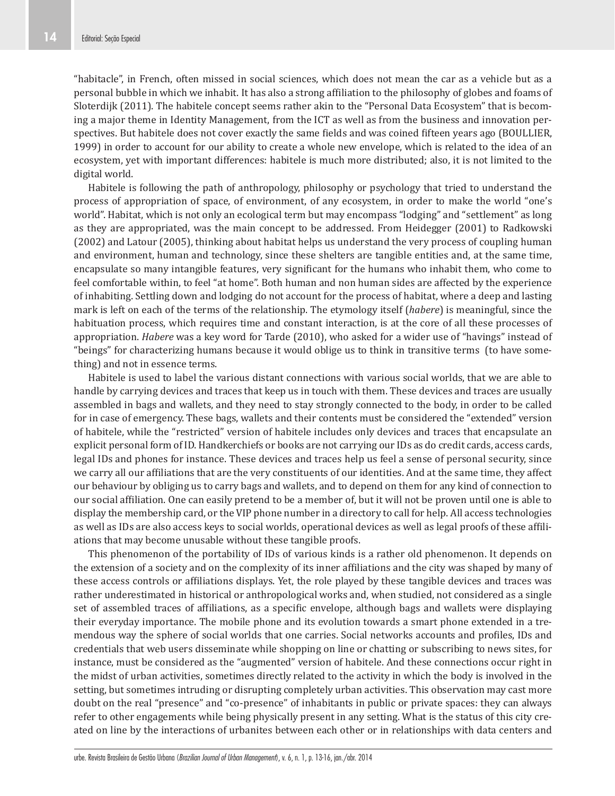"habitacle", in French, often missed in social sciences, which does not mean the car as a vehicle but as a personal bubble in which we inhabit. It has also a strong affiliation to the philosophy of globes and foams of Sloterdijk (2011). The habitele concept seems rather akin to the "Personal Data Ecosystem" that is becoming a major theme in Identity Management, from the ICT as well as from the business and innovation perspectives. But habitele does not cover exactly the same fields and was coined fifteen years ago (BOULLIER, 1999) in order to account for our ability to create a whole new envelope, which is related to the idea of an ecosystem, yet with important differences: habitele is much more distributed; also, it is not limited to the digital world.

Habitele is following the path of anthropology, philosophy or psychology that tried to understand the process of appropriation of space, of environment, of any ecosystem, in order to make the world "one's world". Habitat, which is not only an ecological term but may encompass "lodging" and "settlement" as long as they are appropriated, was the main concept to be addressed. From Heidegger (2001) to Radkowski (2002) and Latour (2005), thinking about habitat helps us understand the very process of coupling human and environment, human and technology, since these shelters are tangible entities and, at the same time, encapsulate so many intangible features, very significant for the humans who inhabit them, who come to feel comfortable within, to feel "at home". Both human and non human sides are affected by the experience of inhabiting. Settling down and lodging do not account for the process of habitat, where a deep and lasting mark is left on each of the terms of the relationship. The etymology itself (*habere*) is meaningful, since the habituation process, which requires time and constant interaction, is at the core of all these processes of appropriation. *Habere* was a key word for Tarde (2010), who asked for a wider use of "havings" instead of "beings" for characterizing humans because it would oblige us to think in transitive terms (to have something) and not in essence terms.

Habitele is used to label the various distant connections with various social worlds, that we are able to handle by carrying devices and traces that keep us in touch with them. These devices and traces are usually assembled in bags and wallets, and they need to stay strongly connected to the body, in order to be called for in case of emergency. These bags, wallets and their contents must be considered the "extended" version of habitele, while the "restricted" version of habitele includes only devices and traces that encapsulate an explicit personal form of ID. Handkerchiefs or books are not carrying our IDs as do credit cards, access cards, legal IDs and phones for instance. These devices and traces help us feel a sense of personal security, since we carry all our affiliations that are the very constituents of our identities. And at the same time, they affect our behaviour by obliging us to carry bags and wallets, and to depend on them for any kind of connection to our social affiliation. One can easily pretend to be a member of, but it will not be proven until one is able to display the membership card, or the VIP phone number in a directory to call for help. All access technologies as well as IDs are also access keys to social worlds, operational devices as well as legal proofs of these affiliations that may become unusable without these tangible proofs.

This phenomenon of the portability of IDs of various kinds is a rather old phenomenon. It depends on the extension of a society and on the complexity of its inner affiliations and the city was shaped by many of these access controls or affiliations displays. Yet, the role played by these tangible devices and traces was rather underestimated in historical or anthropological works and, when studied, not considered as a single set of assembled traces of affiliations, as a specific envelope, although bags and wallets were displaying their everyday importance. The mobile phone and its evolution towards a smart phone extended in a tremendous way the sphere of social worlds that one carries. Social networks accounts and profiles, IDs and credentials that web users disseminate while shopping on line or chatting or subscribing to news sites, for instance, must be considered as the "augmented" version of habitele. And these connections occur right in the midst of urban activities, sometimes directly related to the activity in which the body is involved in the setting, but sometimes intruding or disrupting completely urban activities. This observation may cast more doubt on the real "presence" and "co-presence" of inhabitants in public or private spaces: they can always refer to other engagements while being physically present in any setting. What is the status of this city created on line by the interactions of urbanites between each other or in relationships with data centers and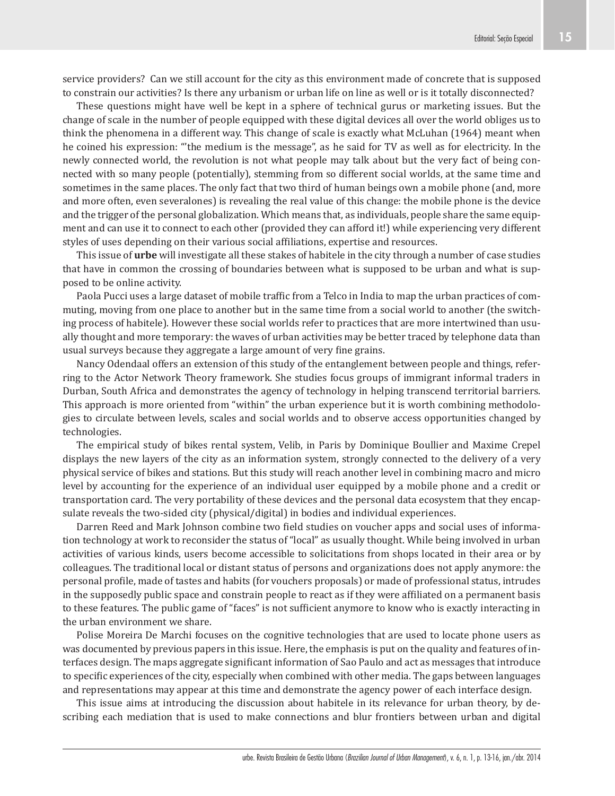service providers? Can we still account for the city as this environment made of concrete that is supposed to constrain our activities? Is there any urbanism or urban life on line as well or is it totally disconnected?

These questions might have well be kept in a sphere of technical gurus or marketing issues. But the change of scale in the number of people equipped with these digital devices all over the world obliges us to think the phenomena in a different way. This change of scale is exactly what McLuhan (1964) meant when he coined his expression: "'the medium is the message", as he said for TV as well as for electricity. In the newly connected world, the revolution is not what people may talk about but the very fact of being connected with so many people (potentially), stemming from so different social worlds, at the same time and sometimes in the same places. The only fact that two third of human beings own a mobile phone (and, more and more often, even severalones) is revealing the real value of this change: the mobile phone is the device and the trigger of the personal globalization. Which means that, as individuals, people share the same equipment and can use it to connect to each other (provided they can afford it!) while experiencing very different styles of uses depending on their various social affiliations, expertise and resources.

This issue of **urbe** will investigate all these stakes of habitele in the city through a number of case studies that have in common the crossing of boundaries between what is supposed to be urban and what is supposed to be online activity.

Paola Pucci uses a large dataset of mobile traffic from a Telco in India to map the urban practices of commuting, moving from one place to another but in the same time from a social world to another (the switching process of habitele). However these social worlds refer to practices that are more intertwined than usually thought and more temporary: the waves of urban activities may be better traced by telephone data than usual surveys because they aggregate a large amount of very fine grains.

Nancy Odendaal offers an extension of this study of the entanglement between people and things, referring to the Actor Network Theory framework. She studies focus groups of immigrant informal traders in Durban, South Africa and demonstrates the agency of technology in helping transcend territorial barriers. This approach is more oriented from "within" the urban experience but it is worth combining methodologies to circulate between levels, scales and social worlds and to observe access opportunities changed by technologies.

The empirical study of bikes rental system, Velib, in Paris by Dominique Boullier and Maxime Crepel displays the new layers of the city as an information system, strongly connected to the delivery of a very physical service of bikes and stations. But this study will reach another level in combining macro and micro level by accounting for the experience of an individual user equipped by a mobile phone and a credit or transportation card. The very portability of these devices and the personal data ecosystem that they encapsulate reveals the two-sided city (physical/digital) in bodies and individual experiences.

Darren Reed and Mark Johnson combine two field studies on voucher apps and social uses of information technology at work to reconsider the status of "local" as usually thought. While being involved in urban activities of various kinds, users become accessible to solicitations from shops located in their area or by colleagues. The traditional local or distant status of persons and organizations does not apply anymore: the personal profile, made of tastes and habits (for vouchers proposals) or made of professional status, intrudes in the supposedly public space and constrain people to react as if they were affiliated on a permanent basis to these features. The public game of "faces" is not sufficient anymore to know who is exactly interacting in the urban environment we share.

Polise Moreira De Marchi focuses on the cognitive technologies that are used to locate phone users as was documented by previous papers in this issue. Here, the emphasis is put on the quality and features of interfaces design. The maps aggregate significant information of Sao Paulo and act as messages that introduce to specific experiences of the city, especially when combined with other media. The gaps between languages and representations may appear at this time and demonstrate the agency power of each interface design.

This issue aims at introducing the discussion about habitele in its relevance for urban theory, by describing each mediation that is used to make connections and blur frontiers between urban and digital